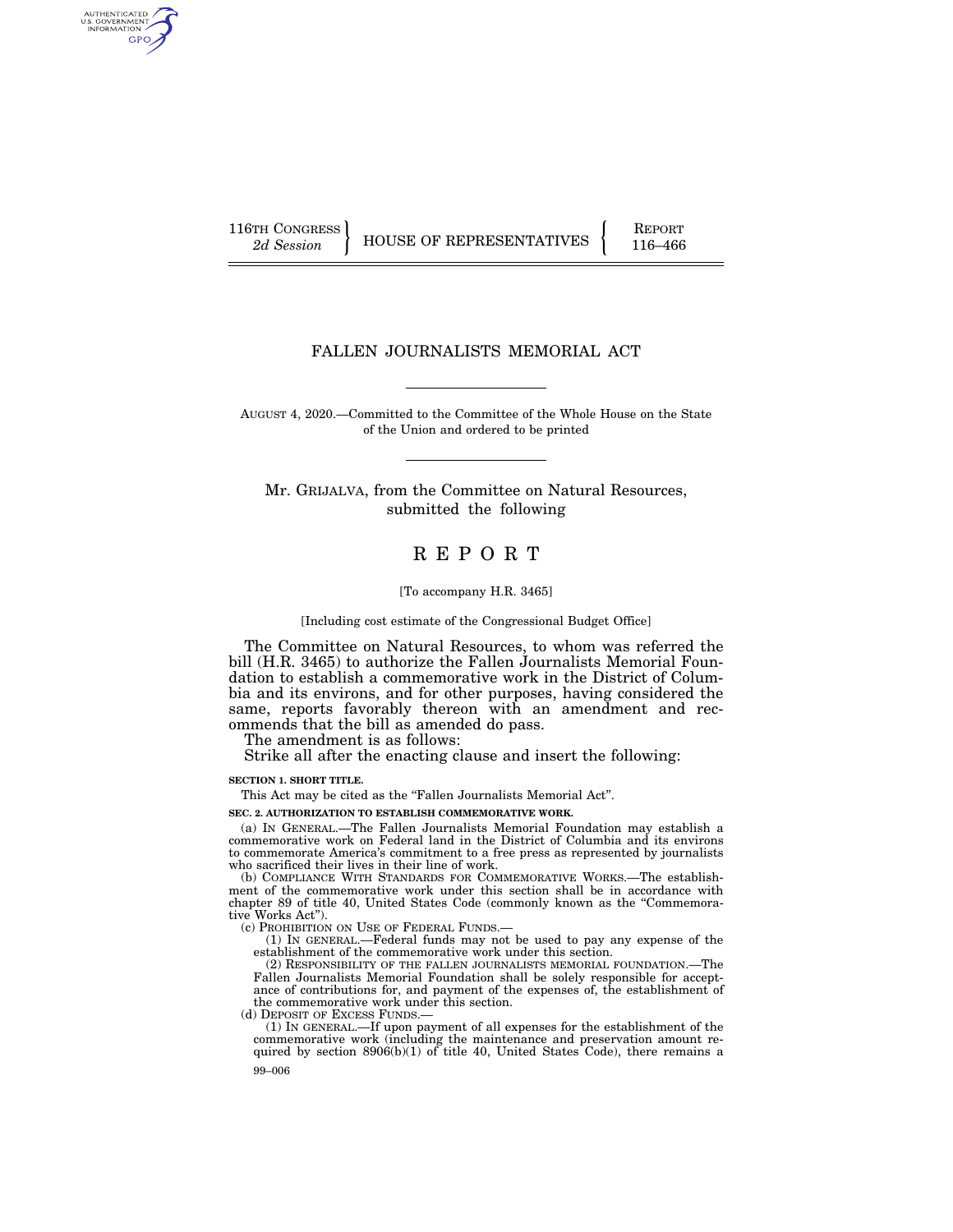AUTHENTICATED U.S. GOVERNMENT GPO

116TH CONGRESS HOUSE OF REPRESENTATIVES FEPORT 116–466

## FALLEN JOURNALISTS MEMORIAL ACT

AUGUST 4, 2020.—Committed to the Committee of the Whole House on the State of the Union and ordered to be printed

Mr. GRIJALVA, from the Committee on Natural Resources, submitted the following

# R E P O R T

#### [To accompany H.R. 3465]

[Including cost estimate of the Congressional Budget Office]

The Committee on Natural Resources, to whom was referred the bill (H.R. 3465) to authorize the Fallen Journalists Memorial Foundation to establish a commemorative work in the District of Columbia and its environs, and for other purposes, having considered the same, reports favorably thereon with an amendment and recommends that the bill as amended do pass.

The amendment is as follows:

Strike all after the enacting clause and insert the following:

**SECTION 1. SHORT TITLE.** 

This Act may be cited as the "Fallen Journalists Memorial Act".

**SEC. 2. AUTHORIZATION TO ESTABLISH COMMEMORATIVE WORK.** 

(a) IN GENERAL.—The Fallen Journalists Memorial Foundation may establish a commemorative work on Federal land in the District of Columbia and its environs to commemorate America's commitment to a free press as represented by journalists who sacrificed their lives in their line of work.

(b) COMPLIANCE WITH STANDARDS FOR COMMEMORATIVE WORKS.—The establishment of the commemorative work under this section shall be in accordance with chapter 89 of title 40, United States Code (commonly known as the ''Commemorative Works Act'').

(c) PROHIBITION ON USE OF FEDERAL FUNDS.—

(1) IN GENERAL.—Federal funds may not be used to pay any expense of the establishment of the commemorative work under this section.

(2) RESPONSIBILITY OF THE FALLEN JOURNALISTS MEMORIAL FOUNDATION.—The Fallen Journalists Memorial Foundation shall be solely responsible for acceptance of contributions for, and payment of the expenses of, the establishment of the commemorative work under this section.

(d) DEPOSIT OF EXCESS FUNDS.—

99–006 (1) IN GENERAL.—If upon payment of all expenses for the establishment of the commemorative work (including the maintenance and preservation amount required by section 8906(b)(1) of title 40, United States Code), there remains a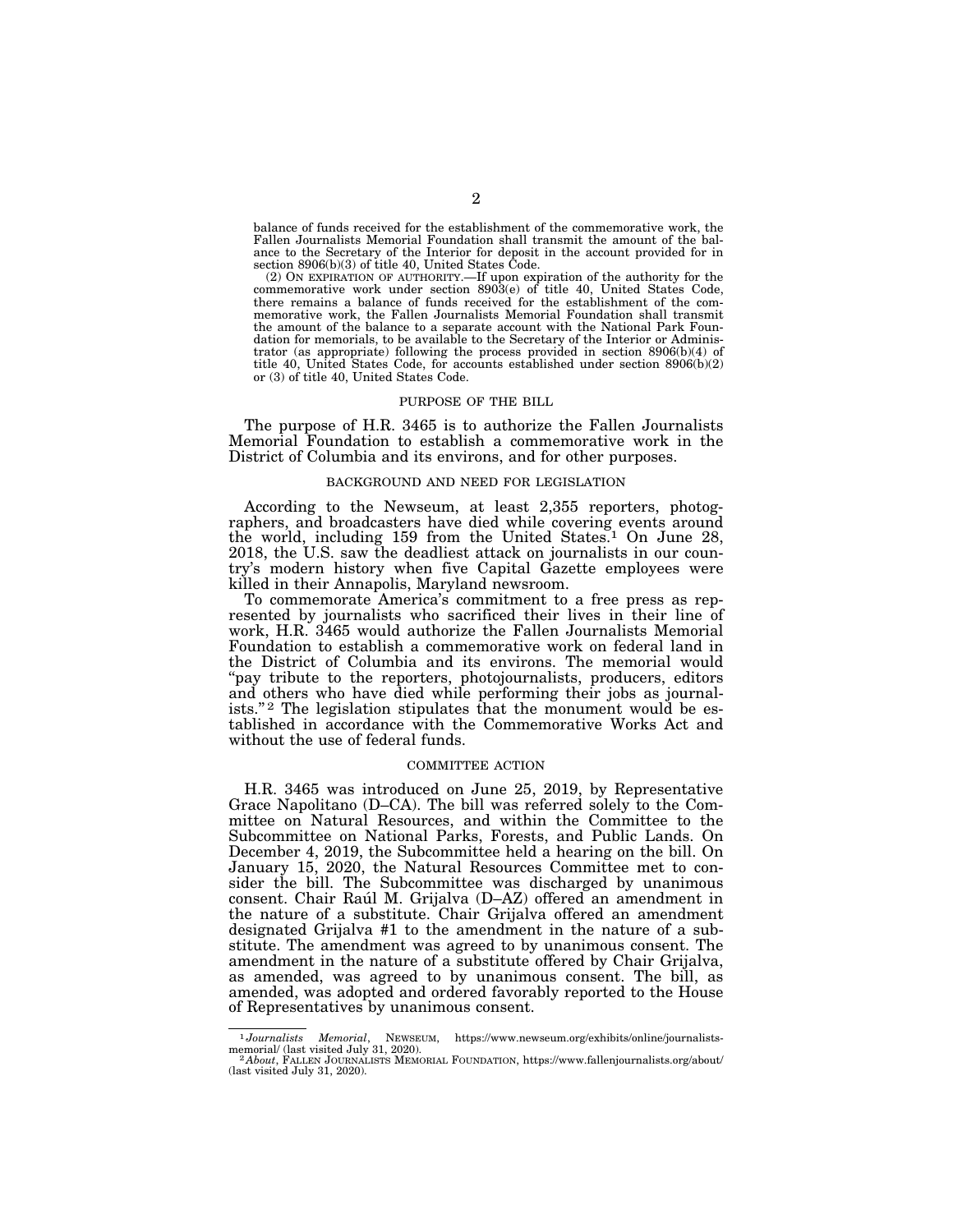balance of funds received for the establishment of the commemorative work, the Fallen Journalists Memorial Foundation shall transmit the amount of the balance to the Secretary of the Interior for deposit in the account provided for in section 8906(b)(3) of title 40, United States Code.

(2) ON EXPIRATION OF AUTHORITY.—If upon expiration of the authority for the commemorative work under section 8903(e) of title 40, United States Code, there remains a balance of funds received for the establishment of the commemorative work, the Fallen Journalists Memorial Foundation shall transmit the amount of the balance to a separate account with the National Park Foundation for memorials, to be available to the Secretary of the Interior or Administrator (as appropriate) following the process provided in section 8906(b)(4) of title 40, United States Code, for accounts established under section 8906(b)(2) or (3) of title 40, United States Code.

#### PURPOSE OF THE BILL

The purpose of H.R. 3465 is to authorize the Fallen Journalists Memorial Foundation to establish a commemorative work in the District of Columbia and its environs, and for other purposes.

#### BACKGROUND AND NEED FOR LEGISLATION

According to the Newseum, at least 2,355 reporters, photographers, and broadcasters have died while covering events around the world, including 159 from the United States.<sup>1</sup> On June 28, 2018, the U.S. saw the deadliest attack on journalists in our country's modern history when five Capital Gazette employees were killed in their Annapolis, Maryland newsroom.

To commemorate America's commitment to a free press as represented by journalists who sacrificed their lives in their line of work, H.R. 3465 would authorize the Fallen Journalists Memorial Foundation to establish a commemorative work on federal land in the District of Columbia and its environs. The memorial would "pay tribute to the reporters, photojournalists, producers, editors and others who have died while performing their jobs as journalists."<sup>2</sup> The legislation stipulates that the monument would be established in accordance with the Commemorative Works Act and without the use of federal funds.

#### COMMITTEE ACTION

H.R. 3465 was introduced on June 25, 2019, by Representative Grace Napolitano (D–CA). The bill was referred solely to the Committee on Natural Resources, and within the Committee to the Subcommittee on National Parks, Forests, and Public Lands. On December 4, 2019, the Subcommittee held a hearing on the bill. On January 15, 2020, the Natural Resources Committee met to consider the bill. The Subcommittee was discharged by unanimous consent. Chair Raúl M. Grijalva (D–AZ) offered an amendment in the nature of a substitute. Chair Grijalva offered an amendment designated Grijalva #1 to the amendment in the nature of a substitute. The amendment was agreed to by unanimous consent. The amendment in the nature of a substitute offered by Chair Grijalva, as amended, was agreed to by unanimous consent. The bill, as amended, was adopted and ordered favorably reported to the House of Representatives by unanimous consent.

<sup>1</sup>*Journalists Memorial*, NEWSEUM, https://www.newseum.org/exhibits/online/journalistsmemorial/ (last visited July 31, 2020).<br><sup>2</sup> *About*, FALLEN JOURNALISTS MEMORIAL FOUNDATION, https://www.fallenjournalists.org/about/

<sup>(</sup>last visited July 31, 2020).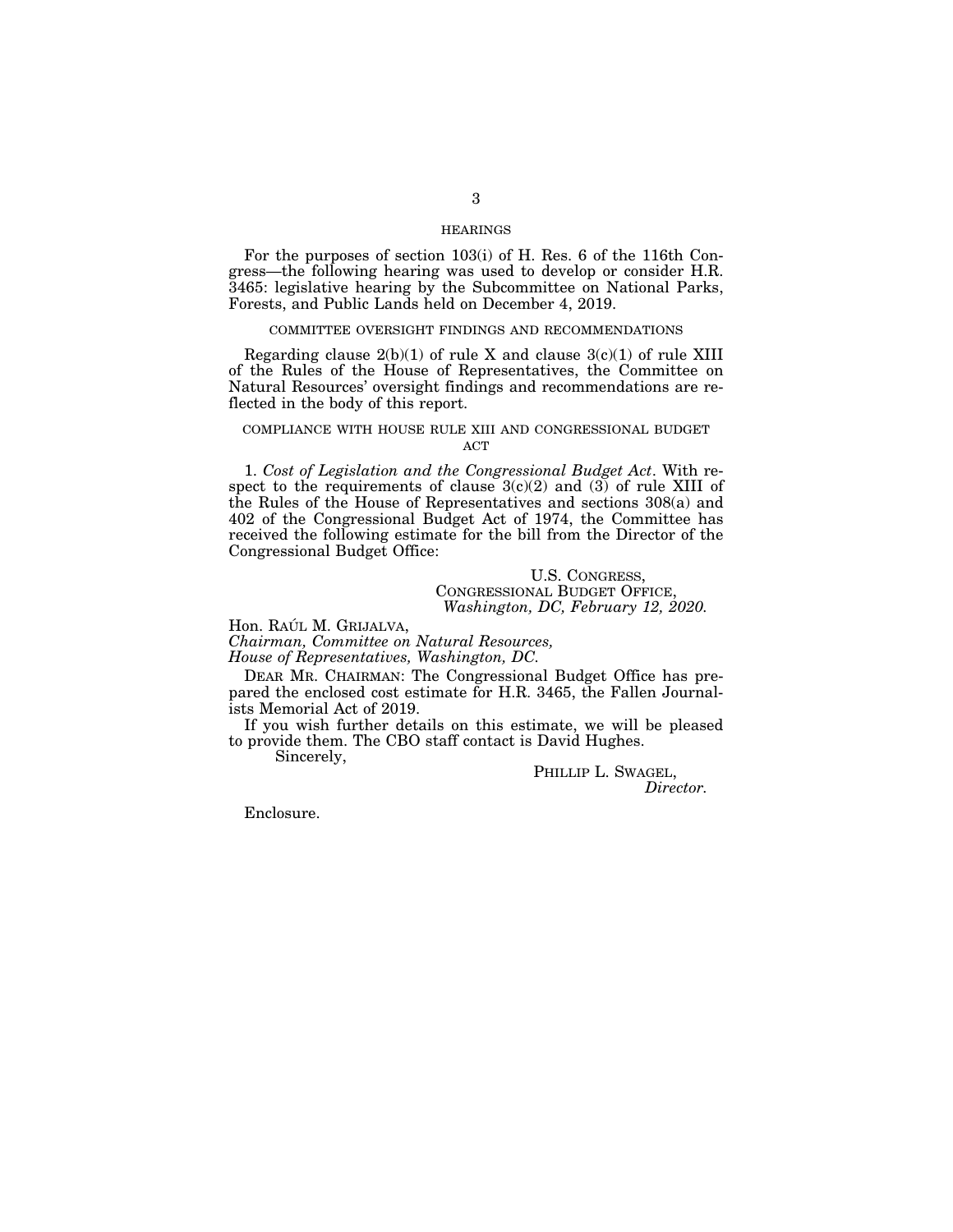### HEARINGS

For the purposes of section 103(i) of H. Res. 6 of the 116th Congress—the following hearing was used to develop or consider H.R. 3465: legislative hearing by the Subcommittee on National Parks, Forests, and Public Lands held on December 4, 2019.

#### COMMITTEE OVERSIGHT FINDINGS AND RECOMMENDATIONS

Regarding clause  $2(b)(1)$  of rule X and clause  $3(c)(1)$  of rule XIII of the Rules of the House of Representatives, the Committee on Natural Resources' oversight findings and recommendations are reflected in the body of this report.

### COMPLIANCE WITH HOUSE RULE XIII AND CONGRESSIONAL BUDGET **ACT**

1. *Cost of Legislation and the Congressional Budget Act*. With respect to the requirements of clause  $3(c)(2)$  and  $(3)$  of rule XIII of the Rules of the House of Representatives and sections 308(a) and 402 of the Congressional Budget Act of 1974, the Committee has received the following estimate for the bill from the Director of the Congressional Budget Office:

### U.S. CONGRESS, CONGRESSIONAL BUDGET OFFICE, *Washington, DC, February 12, 2020.*

Hon. RAÚL M. GRIJALVA,

*Chairman, Committee on Natural Resources,* 

*House of Representatives, Washington, DC.* 

DEAR MR. CHAIRMAN: The Congressional Budget Office has prepared the enclosed cost estimate for H.R. 3465, the Fallen Journalists Memorial Act of 2019.

If you wish further details on this estimate, we will be pleased to provide them. The CBO staff contact is David Hughes. Sincerely,

PHILLIP L. SWAGEL,<br>*Director.* 

Enclosure.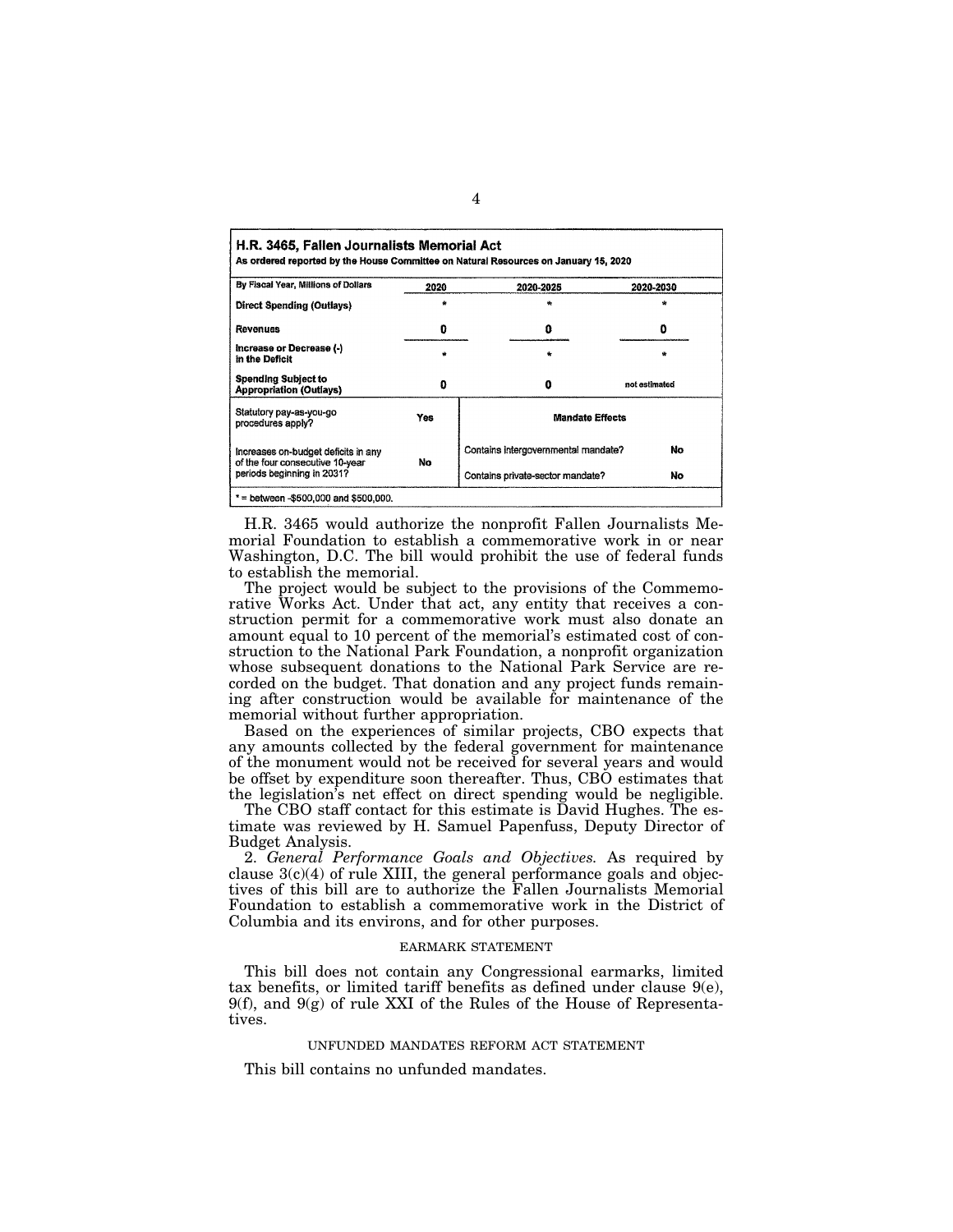|                                                                        |      | As ordered reported by the House Committee on Natural Resources on January 15, 2020 |               |
|------------------------------------------------------------------------|------|-------------------------------------------------------------------------------------|---------------|
| By Fiscal Year, Millions of Dollars                                    | 2020 | 2020-2025                                                                           | 2020-2030     |
| Direct Spending (Outlays)                                              |      |                                                                                     |               |
| Revenues                                                               | 0    | ٥                                                                                   | o             |
| Increase or Decrease (-)<br>in the Deficit                             |      | $\bullet$                                                                           | ٠             |
| <b>Spending Subject to</b><br><b>Appropriation (Outlays)</b>           | o    | 0                                                                                   | not estimated |
| Statutory pay-as-you-go<br>procedures apply?                           | Yes  | <b>Mandate Effects</b>                                                              |               |
| Increases on-budget deficits in any<br>of the four consecutive 10-year | No   | Contains intergovernmental mandate?                                                 | No            |
| periods beginning in 2031?                                             |      | Contains private-sector mandate?                                                    | No            |

H.R. 3465 would authorize the nonprofit Fallen Journalists Memorial Foundation to establish a commemorative work in or near Washington, D.C. The bill would prohibit the use of federal funds to establish the memorial.

The project would be subject to the provisions of the Commemorative Works Act. Under that act, any entity that receives a construction permit for a commemorative work must also donate an amount equal to 10 percent of the memorial's estimated cost of construction to the National Park Foundation, a nonprofit organization whose subsequent donations to the National Park Service are recorded on the budget. That donation and any project funds remaining after construction would be available for maintenance of the memorial without further appropriation.

Based on the experiences of similar projects, CBO expects that any amounts collected by the federal government for maintenance of the monument would not be received for several years and would be offset by expenditure soon thereafter. Thus, CBO estimates that the legislation's net effect on direct spending would be negligible.

The CBO staff contact for this estimate is David Hughes. The estimate was reviewed by H. Samuel Papenfuss, Deputy Director of Budget Analysis.

2. *General Performance Goals and Objectives.* As required by clause  $3(c)(4)$  of rule XIII, the general performance goals and objectives of this bill are to authorize the Fallen Journalists Memorial Foundation to establish a commemorative work in the District of Columbia and its environs, and for other purposes.

### EARMARK STATEMENT

This bill does not contain any Congressional earmarks, limited tax benefits, or limited tariff benefits as defined under clause  $9(e)$ ,  $9(f)$ , and  $9(g)$  of rule XXI of the Rules of the House of Representatives.

### UNFUNDED MANDATES REFORM ACT STATEMENT

This bill contains no unfunded mandates.